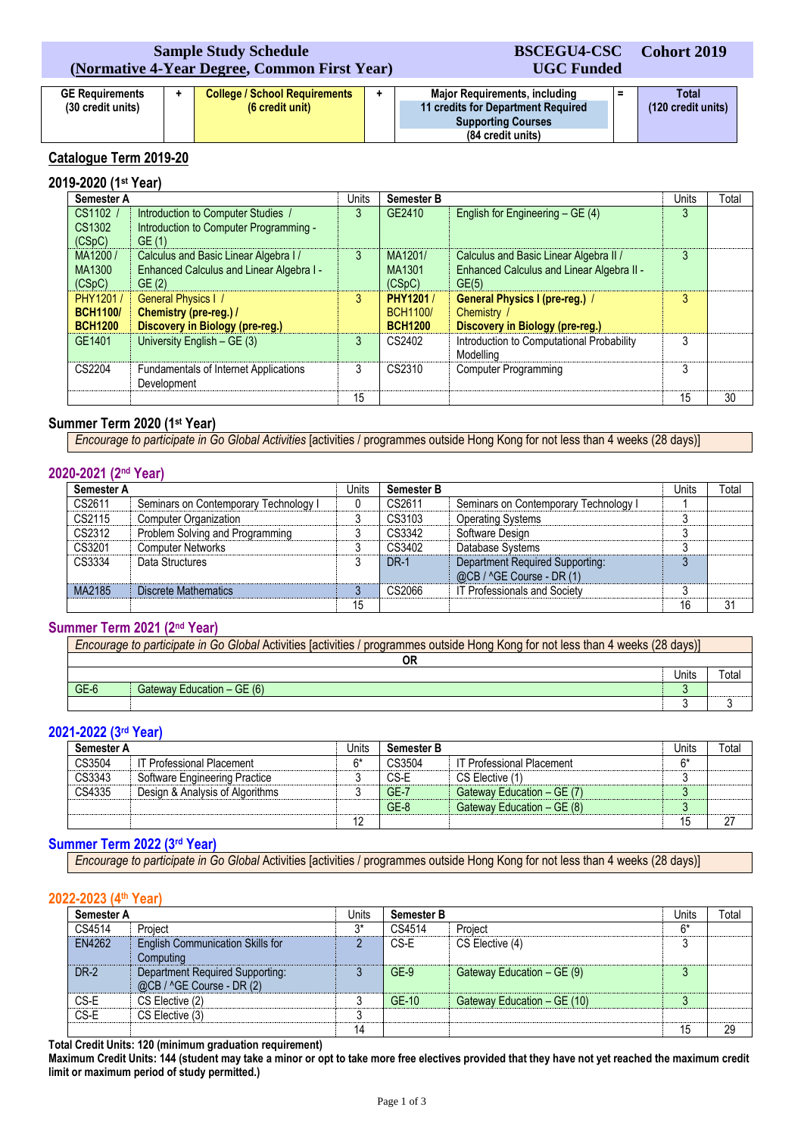# **Sample Study Schedule (Normative 4-Year Degree, Common First Year)**

#### **GE Requirements (30 credit units) + College / School Requirements (6 credit unit) + Major Requirements, including 11 credits for Department Required Supporting Courses (84 credit units) = Total (120 credit units)**

**BSCEGU4-CSC UGC Funded** **Cohort 2019**

# **Catalogue Term 2019-20**

# **2019-2020 (1st Year)**

| Semester A                                    |                                                                                            | Units | <b>Semester B</b>                              |                                                                                              | <b>Units</b> | Total |
|-----------------------------------------------|--------------------------------------------------------------------------------------------|-------|------------------------------------------------|----------------------------------------------------------------------------------------------|--------------|-------|
| CS1102 /<br>CS1302<br>(CSpC)                  | Introduction to Computer Studies /<br>Introduction to Computer Programming -<br>GE(1)      | 3     | GE2410                                         | English for Engineering - GE (4)                                                             | 3            |       |
| MA1200/<br>MA1300<br>(CSpC)                   | Calculus and Basic Linear Algebra I /<br>Enhanced Calculus and Linear Algebra I -<br>GE(2) | 3     | MA1201/<br>MA1301<br>(CSpC)                    | Calculus and Basic Linear Algebra II /<br>Enhanced Calculus and Linear Algebra II -<br>GE(5) | 3            |       |
| PHY1201/<br><b>BCH1100/</b><br><b>BCH1200</b> | <b>General Physics I /</b><br>Chemistry (pre-reg.) /<br>Discovery in Biology (pre-reg.)    | 3     | PHY1201 /<br><b>BCH1100/</b><br><b>BCH1200</b> | <b>General Physics I (pre-reg.) /</b><br>Chemistry<br>Discovery in Biology (pre-reg.)        | 3            |       |
| GE1401                                        | University English $-$ GE (3)                                                              | 3     | CS2402                                         | Introduction to Computational Probability<br><b>Modelling</b>                                | 3            |       |
| CS2204                                        | <b>Fundamentals of Internet Applications</b><br>Development                                | 3     | CS2310                                         | Computer Programming                                                                         | 3            |       |
|                                               |                                                                                            | 15    |                                                |                                                                                              | 15           | 30    |

# **Summer Term 2020 (1st Year)**

*Encourage to participate in Go Global Activities* [activities / programmes outside Hong Kong for not less than 4 weeks (28 days)]

# **2020-2021 (2nd Year)**

| Semester A |                                       | Units | <b>Semester B</b> |                                                              | Units | Total |
|------------|---------------------------------------|-------|-------------------|--------------------------------------------------------------|-------|-------|
| CS2611     | Seminars on Contemporary Technology I |       | CS2611            | Seminars on Contemporary Technology I                        |       |       |
| CS2115     | <b>Computer Organization</b>          |       | CS3103            | <b>Operating Systems</b>                                     |       |       |
| CS2312     | Problem Solving and Programming       |       | CS3342            | Software Design                                              |       |       |
| CS3201     | <b>Computer Networks</b>              | ⌒     | CS3402            | Database Systems                                             |       |       |
| CS3334     | Data Structures                       | u     | <b>DR-1</b>       | Department Required Supporting:<br>@CB / ^GE Course - DR (1) |       |       |
| MA2185     | Discrete Mathematics                  |       | CS2066            | IT Professionals and Society                                 |       |       |
|            |                                       | 15    |                   |                                                              | 16    | 31    |

# **Summer Term 2021 (2nd Year)**

| Encourage to participate in Go Global Activities [activities / programmes outside Hong Kong for not less than 4 weeks (28 days)] |       |                             |  |  |
|----------------------------------------------------------------------------------------------------------------------------------|-------|-----------------------------|--|--|
| OR                                                                                                                               |       |                             |  |  |
|                                                                                                                                  | Units | $\mathsf{r}_{\mathsf{ota}}$ |  |  |
| GE-6<br>Gateway Education - GE (6)                                                                                               |       |                             |  |  |
|                                                                                                                                  |       |                             |  |  |

# **2021-2022 (3rd Year)**

| Semester A |                                 | Jnits | <b>Semester B</b> |                                  | Jnits | Total |
|------------|---------------------------------|-------|-------------------|----------------------------------|-------|-------|
| CS3504     | IT Professional Placement       | $6*$  | CS3504            | <b>IT Professional Placement</b> | 6*    |       |
| CS3343     | Software Engineering Practice   |       | CS-E              | CS Elective (1)                  |       |       |
| CS4335     | Design & Analysis of Algorithms |       | $GE-7$            | Gateway Education - GE (7)       |       |       |
|            |                                 |       | $GE-8$            | Gateway Education - GE (8)       |       |       |
|            |                                 | 12    |                   |                                  | 15    | 27    |

# **Summer Term 2022 (3rd Year)**

*Encourage to participate in Go Global* Activities [activities / programmes outside Hong Kong for not less than 4 weeks (28 days)]

# **2022-2023 (4th Year)**

| Semester A  |                                                              | Jnits | <b>Semester B</b> |                             | Units | Total |
|-------------|--------------------------------------------------------------|-------|-------------------|-----------------------------|-------|-------|
| CS4514      | Project                                                      | ን*    | CS4514            | Project                     | $6*$  |       |
| EN4262      | <b>English Communication Skills for</b><br>Computing         |       | CS-E              | CS Elective (4)             | 3     |       |
| <b>DR-2</b> | Department Required Supporting:<br>@CB / ^GE Course - DR (2) |       | $GE-9$            | Gateway Education – GE (9)  | 3     |       |
| CS-E        | CS Elective (2)                                              |       | $GE-10$           | Gateway Education - GE (10) | 3     |       |
| CS-E        | CS Elective (3)                                              | n     |                   |                             |       |       |
|             |                                                              | 14    |                   |                             | 15    | 29    |

**Total Credit Units: 120 (minimum graduation requirement)**

**Maximum Credit Units: 144 (student may take a minor or opt to take more free electives provided that they have not yet reached the maximum credit limit or maximum period of study permitted.)**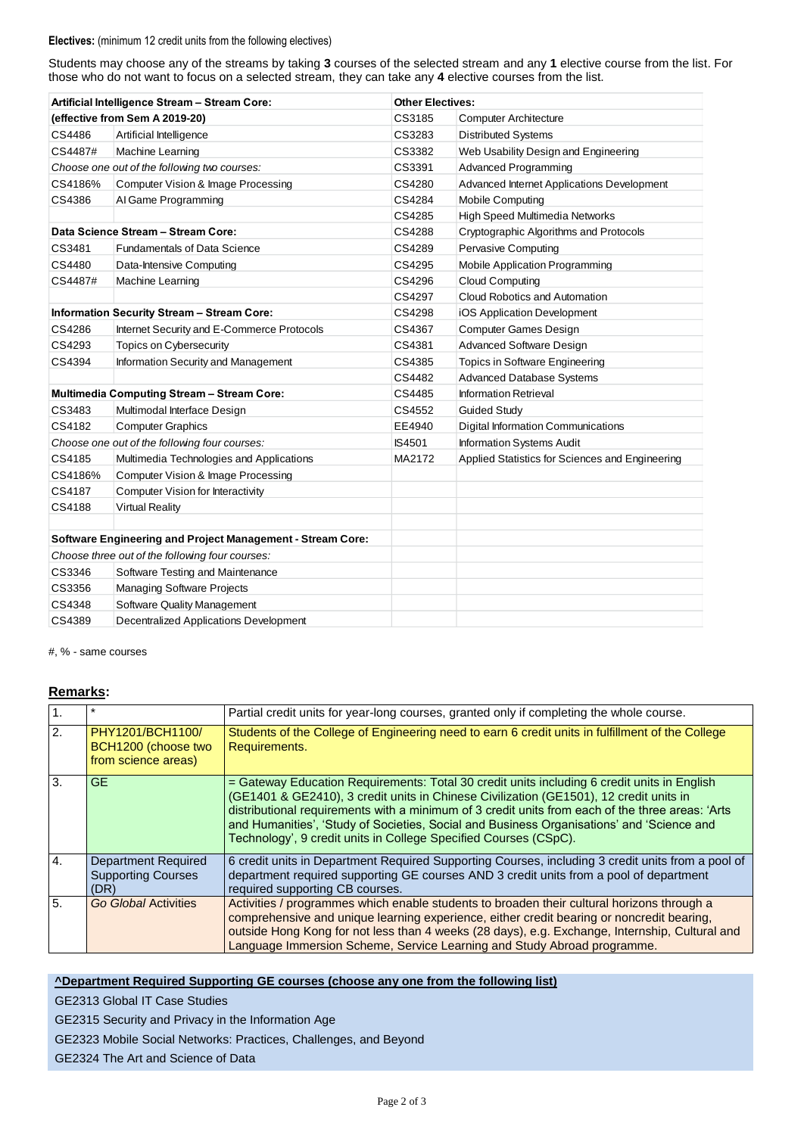#### **Electives:** (minimum 12 credit units from the following electives)

Students may choose any of the streams by taking **3** courses of the selected stream and any **1** elective course from the list. For those who do not want to focus on a selected stream, they can take any **4** elective courses from the list.

| Artificial Intelligence Stream - Stream Core:                     |                                                   | <b>Other Electives:</b> |                                                 |  |
|-------------------------------------------------------------------|---------------------------------------------------|-------------------------|-------------------------------------------------|--|
|                                                                   | (effective from Sem A 2019-20)                    | CS3185                  | <b>Computer Architecture</b>                    |  |
| CS4486                                                            | Artificial Intelligence                           | CS3283                  | <b>Distributed Systems</b>                      |  |
| CS4487#                                                           | Machine Learning                                  | CS3382                  | Web Usability Design and Engineering            |  |
|                                                                   | Choose one out of the following two courses:      | CS3391                  | Advanced Programming                            |  |
| CS4186%                                                           | Computer Vision & Image Processing                | CS4280                  | Advanced Internet Applications Development      |  |
| CS4386                                                            | Al Game Programming                               | CS4284                  | <b>Mobile Computing</b>                         |  |
|                                                                   |                                                   | CS4285                  | High Speed Multimedia Networks                  |  |
|                                                                   | Data Science Stream - Stream Core:                | CS4288                  | Cryptographic Algorithms and Protocols          |  |
| CS3481                                                            | <b>Fundamentals of Data Science</b>               | CS4289                  | <b>Pervasive Computing</b>                      |  |
| CS4480                                                            | Data-Intensive Computing                          | CS4295                  | <b>Mobile Application Programming</b>           |  |
| CS4487#                                                           | Machine Learning                                  | CS4296                  | <b>Cloud Computing</b>                          |  |
|                                                                   |                                                   | CS4297                  | Cloud Robotics and Automation                   |  |
| Information Security Stream - Stream Core:                        |                                                   | CS4298                  | iOS Application Development                     |  |
| CS4286                                                            | Internet Security and E-Commerce Protocols        | CS4367                  | <b>Computer Games Design</b>                    |  |
| CS4293                                                            | Topics on Cybersecurity                           | CS4381                  | <b>Advanced Software Design</b>                 |  |
| CS4394                                                            | Information Security and Management               | CS4385                  | Topics in Software Engineering                  |  |
|                                                                   |                                                   | CS4482                  | <b>Advanced Database Systems</b>                |  |
|                                                                   | <b>Multimedia Computing Stream - Stream Core:</b> | CS4485                  | <b>Information Retrieval</b>                    |  |
| CS3483                                                            | Multimodal Interface Design                       | CS4552                  | <b>Guided Study</b>                             |  |
| CS4182                                                            | <b>Computer Graphics</b>                          | EE4940                  | <b>Digital Information Communications</b>       |  |
|                                                                   | Choose one out of the following four courses:     | <b>IS4501</b>           | Information Systems Audit                       |  |
| CS4185                                                            | Multimedia Technologies and Applications          | MA2172                  | Applied Statistics for Sciences and Engineering |  |
| CS4186%                                                           | Computer Vision & Image Processing                |                         |                                                 |  |
| CS4187                                                            | Computer Vision for Interactivity                 |                         |                                                 |  |
| CS4188                                                            | <b>Virtual Reality</b>                            |                         |                                                 |  |
|                                                                   |                                                   |                         |                                                 |  |
| <b>Software Engineering and Project Management - Stream Core:</b> |                                                   |                         |                                                 |  |
| Choose three out of the following four courses:                   |                                                   |                         |                                                 |  |
| CS3346                                                            | Software Testing and Maintenance                  |                         |                                                 |  |
| CS3356                                                            | <b>Managing Software Projects</b>                 |                         |                                                 |  |
| CS4348                                                            | <b>Software Quality Management</b>                |                         |                                                 |  |
| CS4389                                                            | <b>Decentralized Applications Development</b>     |                         |                                                 |  |

#, % - same courses

# **Remarks:**

|                  |                                                                | Partial credit units for year-long courses, granted only if completing the whole course.                                                                                                                                                                                                                                                                                                                                                                   |
|------------------|----------------------------------------------------------------|------------------------------------------------------------------------------------------------------------------------------------------------------------------------------------------------------------------------------------------------------------------------------------------------------------------------------------------------------------------------------------------------------------------------------------------------------------|
| $\overline{2}$ . | PHY1201/BCH1100/<br>BCH1200 (choose two<br>from science areas) | Students of the College of Engineering need to earn 6 credit units in fulfillment of the College<br>Requirements.                                                                                                                                                                                                                                                                                                                                          |
| 3.               | GE                                                             | = Gateway Education Requirements: Total 30 credit units including 6 credit units in English<br>(GE1401 & GE2410), 3 credit units in Chinese Civilization (GE1501), 12 credit units in<br>distributional requirements with a minimum of 3 credit units from each of the three areas: 'Arts<br>and Humanities', 'Study of Societies, Social and Business Organisations' and 'Science and<br>Technology', 9 credit units in College Specified Courses (CSpC). |
| 4.               | Department Required<br><b>Supporting Courses</b><br>(DR)       | 6 credit units in Department Required Supporting Courses, including 3 credit units from a pool of<br>department required supporting GE courses AND 3 credit units from a pool of department<br>required supporting CB courses.                                                                                                                                                                                                                             |
| 5 <sub>1</sub>   | Go Global Activities                                           | Activities / programmes which enable students to broaden their cultural horizons through a<br>comprehensive and unique learning experience, either credit bearing or noncredit bearing,<br>outside Hong Kong for not less than 4 weeks (28 days), e.g. Exchange, Internship, Cultural and<br>Language Immersion Scheme, Service Learning and Study Abroad programme.                                                                                       |

# **^Department Required Supporting GE courses (choose any one from the following list)**

GE2313 Global IT Case Studies

GE2315 Security and Privacy in the Information Age

GE2323 Mobile Social Networks: Practices, Challenges, and Beyond

GE2324 The Art and Science of Data